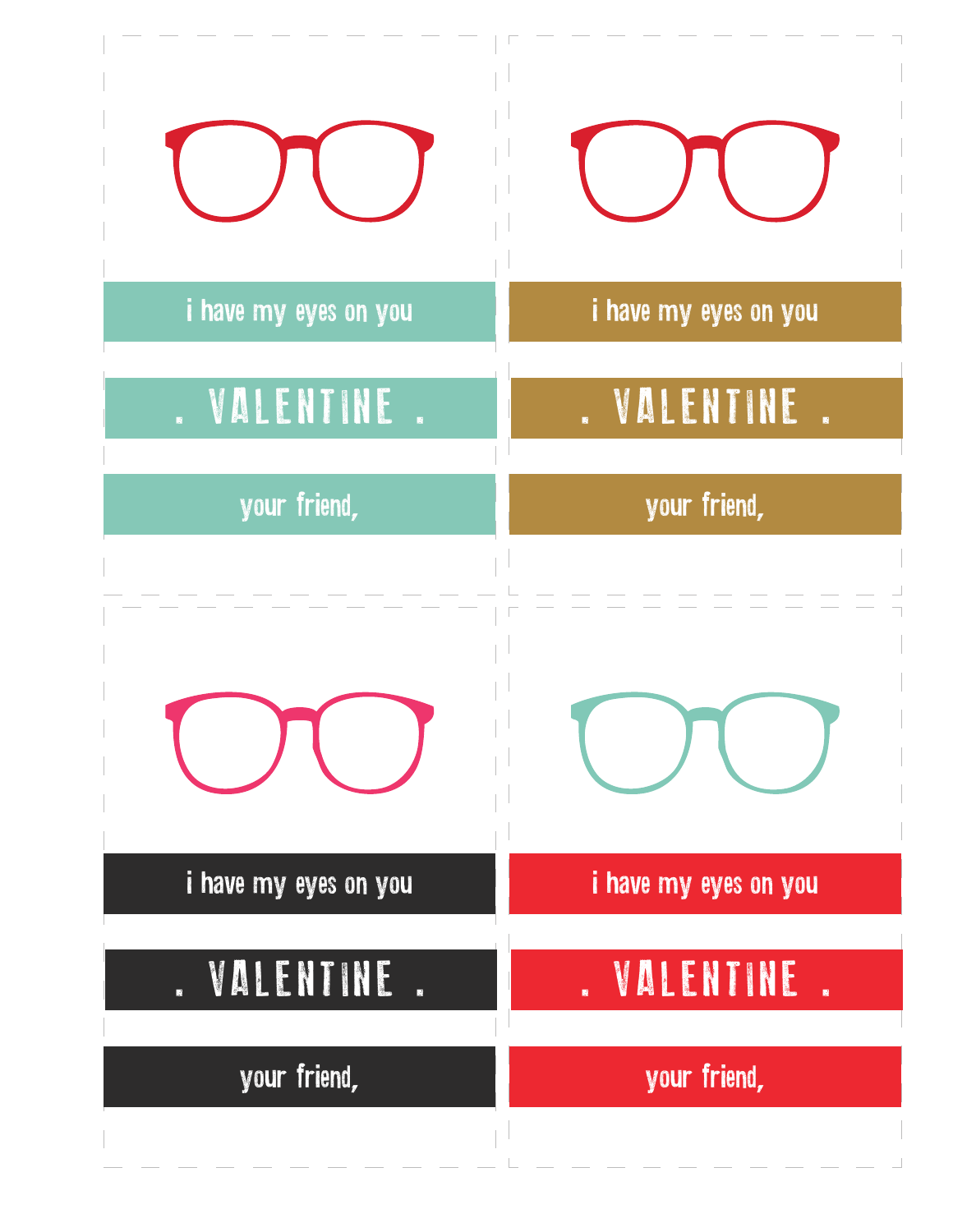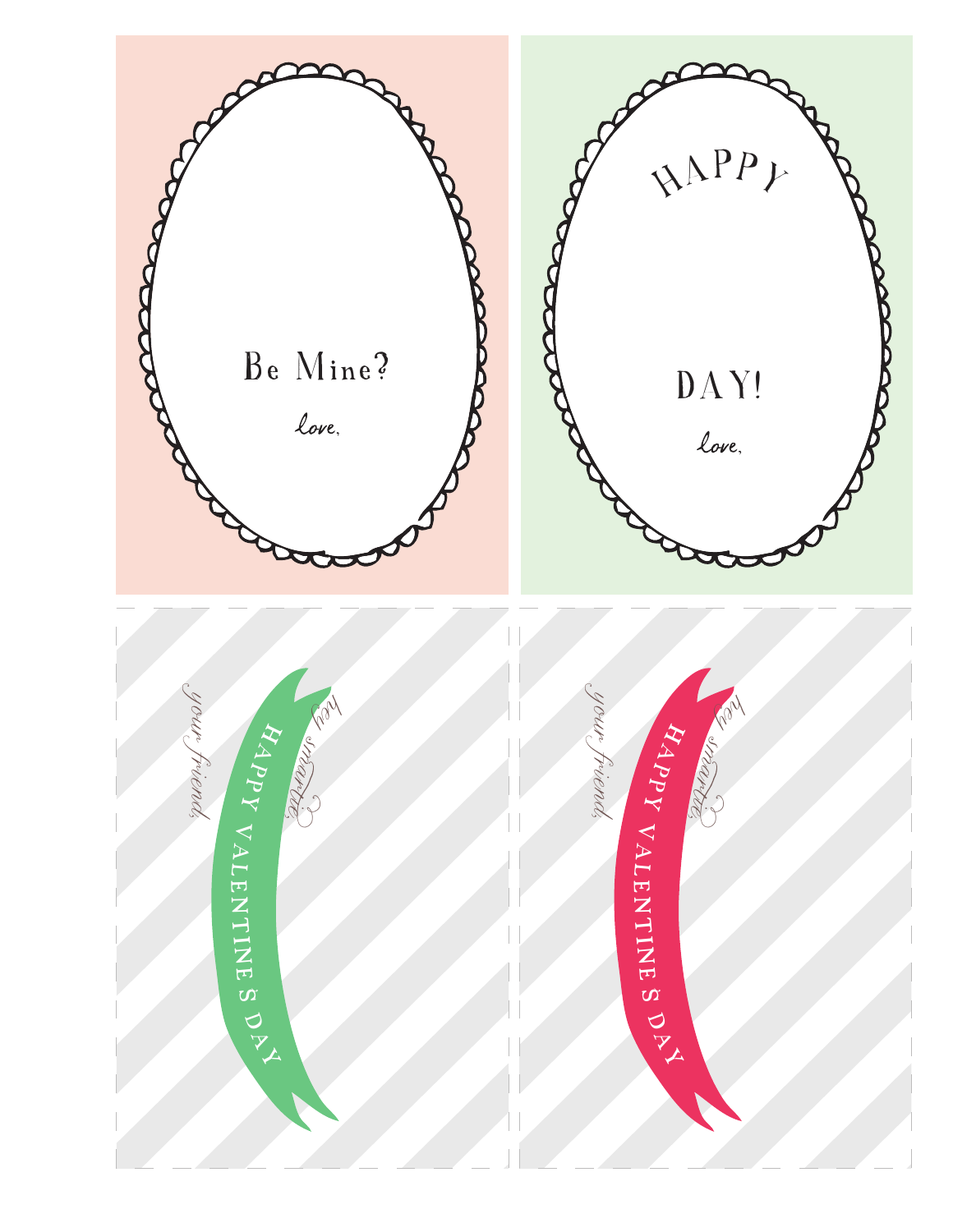